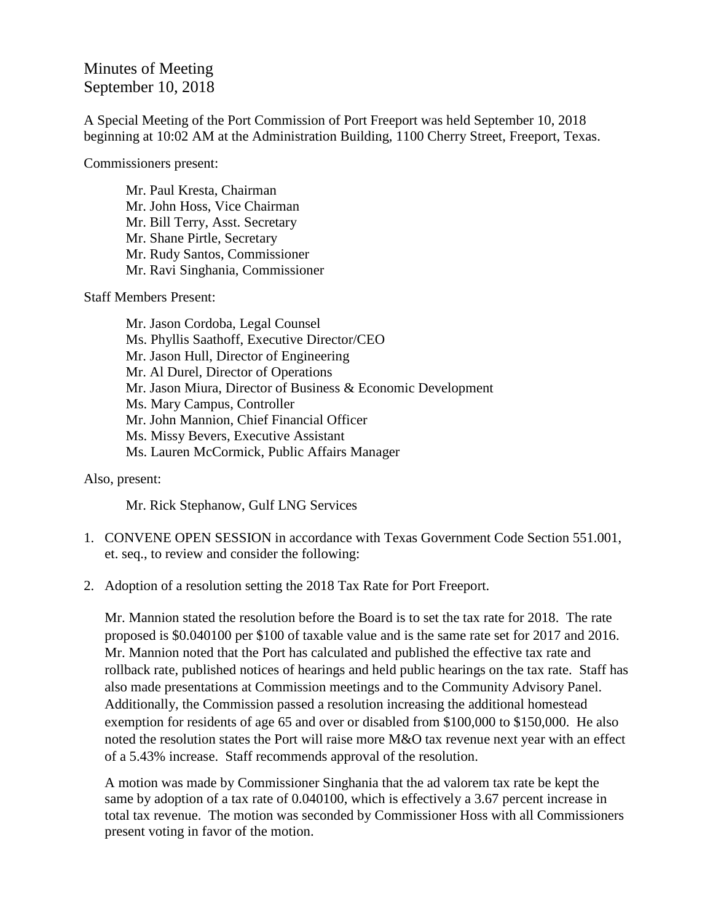## Minutes of Meeting September 10, 2018

A Special Meeting of the Port Commission of Port Freeport was held September 10, 2018 beginning at 10:02 AM at the Administration Building, 1100 Cherry Street, Freeport, Texas.

Commissioners present:

Mr. Paul Kresta, Chairman Mr. John Hoss, Vice Chairman Mr. Bill Terry, Asst. Secretary Mr. Shane Pirtle, Secretary Mr. Rudy Santos, Commissioner Mr. Ravi Singhania, Commissioner

Staff Members Present:

Mr. Jason Cordoba, Legal Counsel Ms. Phyllis Saathoff, Executive Director/CEO Mr. Jason Hull, Director of Engineering Mr. Al Durel, Director of Operations Mr. Jason Miura, Director of Business & Economic Development Ms. Mary Campus, Controller Mr. John Mannion, Chief Financial Officer Ms. Missy Bevers, Executive Assistant Ms. Lauren McCormick, Public Affairs Manager

Also, present:

Mr. Rick Stephanow, Gulf LNG Services

- 1. CONVENE OPEN SESSION in accordance with Texas Government Code Section 551.001, et. seq., to review and consider the following:
- 2. Adoption of a resolution setting the 2018 Tax Rate for Port Freeport.

Mr. Mannion stated the resolution before the Board is to set the tax rate for 2018. The rate proposed is \$0.040100 per \$100 of taxable value and is the same rate set for 2017 and 2016. Mr. Mannion noted that the Port has calculated and published the effective tax rate and rollback rate, published notices of hearings and held public hearings on the tax rate. Staff has also made presentations at Commission meetings and to the Community Advisory Panel. Additionally, the Commission passed a resolution increasing the additional homestead exemption for residents of age 65 and over or disabled from \$100,000 to \$150,000. He also noted the resolution states the Port will raise more M&O tax revenue next year with an effect of a 5.43% increase. Staff recommends approval of the resolution.

A motion was made by Commissioner Singhania that the ad valorem tax rate be kept the same by adoption of a tax rate of 0.040100, which is effectively a 3.67 percent increase in total tax revenue. The motion was seconded by Commissioner Hoss with all Commissioners present voting in favor of the motion.